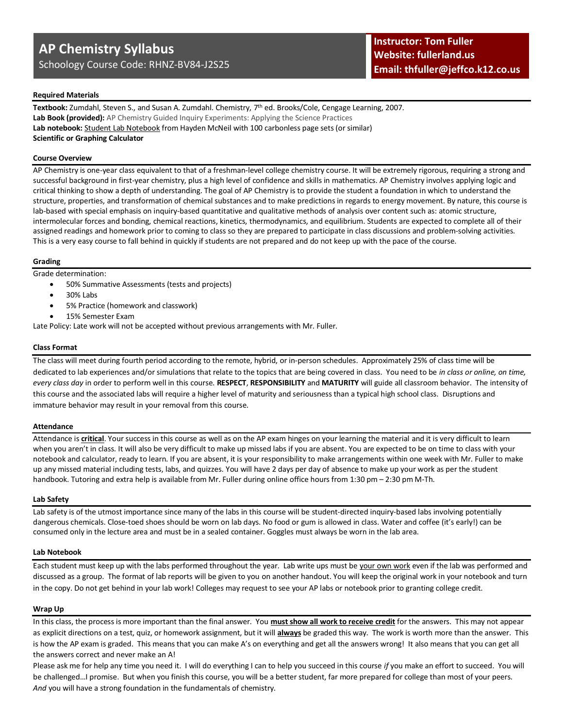# **AP Chemistry Syllabus**

Schoology Course Code: RHNZ-BV84-J2S25

# **Required Materials**

**Textbook:** Zumdahl, Steven S., and Susan A. Zumdahl. Chemistry, 7 th ed. Brooks/Cole, Cengage Learning, 2007. Lab Book (provided): AP Chemistry Guided Inquiry Experiments: Applying the Science Practices **Lab notebook:** Student Lab Notebook from Hayden McNeil with 100 carbonless page sets (or similar) **Scientific or Graphing Calculator**

#### **Course Overview**

AP Chemistry is one-year class equivalent to that of a freshman-level college chemistry course. It will be extremely rigorous, requiring a strong and successful background in first-year chemistry, plus a high level of confidence and skills in mathematics. AP Chemistry involves applying logic and critical thinking to show a depth of understanding. The goal of AP Chemistry is to provide the student a foundation in which to understand the structure, properties, and transformation of chemical substances and to make predictions in regards to energy movement. By nature, this course is lab-based with special emphasis on inquiry-based quantitative and qualitative methods of analysis over content such as: atomic structure, intermolecular forces and bonding, chemical reactions, kinetics, thermodynamics, and equilibrium. Students are expected to complete all of their assigned readings and homework prior to coming to class so they are prepared to participate in class discussions and problem-solving activities. This is a very easy course to fall behind in quickly if students are not prepared and do not keep up with the pace of the course.

#### **Grading**

Grade determination:

- 50% Summative Assessments (tests and projects)
- 30% Labs
- 5% Practice (homework and classwork)
- 15% Semester Exam

Late Policy: Late work will not be accepted without previous arrangements with Mr. Fuller.

# **Class Format**

The class will meet during fourth period according to the remote, hybrid, or in-person schedules. Approximately 25% of class time will be dedicated to lab experiences and/or simulations that relate to the topics that are being covered in class. You need to be *in class or online, on time, every class day* in order to perform well in this course. **RESPECT**, **RESPONSIBILITY** and **MATURITY** will guide all classroom behavior. The intensity of this course and the associated labs will require a higher level of maturity and seriousness than a typical high school class. Disruptions and immature behavior may result in your removal from this course.

#### **Attendance**

Attendance is **critical**. Your success in this course as well as on the AP exam hinges on your learning the material and it is very difficult to learn when you aren't in class. It will also be very difficult to make up missed labs if you are absent. You are expected to be on time to class with your notebook and calculator, ready to learn. If you are absent, it is your responsibility to make arrangements within one week with Mr. Fuller to make up any missed material including tests, labs, and quizzes. You will have 2 days per day of absence to make up your work as per the student handbook. Tutoring and extra help is available from Mr. Fuller during online office hours from 1:30 pm – 2:30 pm M-Th.

#### **Lab Safety**

Lab safety is of the utmost importance since many of the labs in this course will be student-directed inquiry-based labs involving potentially dangerous chemicals. Close-toed shoes should be worn on lab days. No food or gum is allowed in class. Water and coffee (it's early!) can be consumed only in the lecture area and must be in a sealed container. Goggles must always be worn in the lab area.

#### **Lab Notebook**

Each student must keep up with the labs performed throughout the year. Lab write ups must be your own work even if the lab was performed and discussed as a group. The format of lab reports will be given to you on another handout. You will keep the original work in your notebook and turn in the copy. Do not get behind in your lab work! Colleges may request to see your AP labs or notebook prior to granting college credit.

#### **Wrap Up**

In this class, the process is more important than the final answer. You **must show all work to receive credit** for the answers. This may not appear as explicit directions on a test, quiz, or homework assignment, but it will **always** be graded this way. The work is worth more than the answer. This is how the AP exam is graded. This means that you can make A's on everything and get all the answers wrong! It also means that you can get all the answers correct and never make an A!

Please ask me for help any time you need it. I will do everything I can to help you succeed in this course *if* you make an effort to succeed. You will be challenged…I promise. But when you finish this course, you will be a better student, far more prepared for college than most of your peers. *And* you will have a strong foundation in the fundamentals of chemistry.